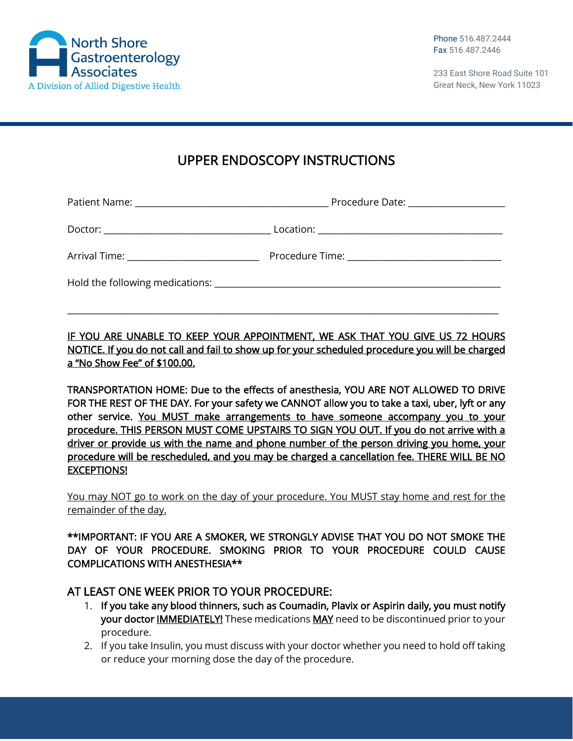

233 East Shore Road Suite 101 Great Neck, New York 11023

## UPPER ENDOSCOPY INSTRUCTIONS

|                                                                                                                | Procedure Date: ____________________ |
|----------------------------------------------------------------------------------------------------------------|--------------------------------------|
|                                                                                                                |                                      |
| Arrival Time: ________________________________                                                                 |                                      |
| Hold the following medications: North and the state of the state of the state of the state of the state of the |                                      |

IF YOU ARE UNABLE TO KEEP YOUR APPOINTMENT, WE ASK THAT YOU GIVE US 72 HOURS NOTICE. If you do not call and fail to show up for your scheduled procedure you will be charged a "No Show Fee" of \$100.00.

\_\_\_\_\_\_\_\_\_\_\_\_\_\_\_\_\_\_\_\_\_\_\_\_\_\_\_\_\_\_\_\_\_\_\_\_\_\_\_\_\_\_\_\_\_\_\_\_\_\_\_\_\_\_\_\_\_\_\_\_\_\_\_\_\_\_\_\_\_\_\_\_\_\_\_\_\_\_\_\_\_\_\_\_\_\_\_\_\_\_\_\_\_\_\_\_\_\_

TRANSPORTATION HOME: Due to the effects of anesthesia, YOU ARE NOT ALLOWED TO DRIVE FOR THE REST OF THE DAY. For your safety we CANNOT allow you to take a taxi, uber, lyft or any other service. You MUST make arrangements to have someone accompany you to your procedure. THIS PERSON MUST COME UPSTAIRS TO SIGN YOU OUT. If you do not arrive with a driver or provide us with the name and phone number of the person driving you home, your procedure will be rescheduled, and you may be charged a cancellation fee. THERE WILL BE NO EXCEPTIONS!

You may NOT go to work on the day of your procedure. You MUST stay home and rest for the remainder of the day.

\*\*IMPORTANT: IF YOU ARE A SMOKER, WE STRONGLY ADVISE THAT YOU DO NOT SMOKE THE DAY OF YOUR PROCEDURE. SMOKING PRIOR TO YOUR PROCEDURE COULD CAUSE COMPLICATIONS WITH ANESTHESIA\*\*

## AT LEAST ONE WEEK PRIOR TO YOUR PROCEDURE:

- 1. If you take any blood thinners, such as Coumadin, Plavix or Aspirin daily, you must notify your doctor **IMMEDIATELY!** These medications MAY need to be discontinued prior to your procedure.
- 2. If you take Insulin, you must discuss with your doctor whether you need to hold off taking or reduce your morning dose the day of the procedure.